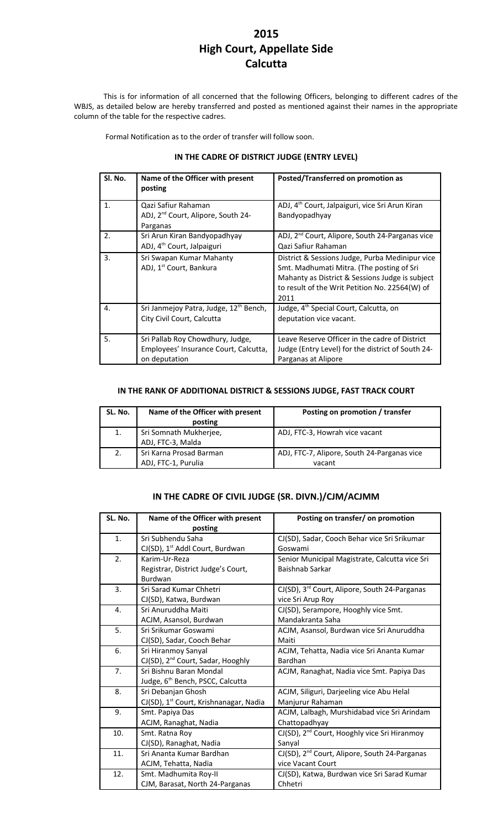# **2015 High Court, Appellate Side Calcutta**

This is for information of all concerned that the following Officers, belonging to different cadres of the WBJS, as detailed below are hereby transferred and posted as mentioned against their names in the appropriate column of the table for the respective cadres.

Formal Notification as to the order of transfer will follow soon.

## **IN THE CADRE OF DISTRICT JUDGE (ENTRY LEVEL)**

| Sl. No. | Name of the Officer with present<br>posting                                                | Posted/Transferred on promotion as                                                                                                                                                                        |
|---------|--------------------------------------------------------------------------------------------|-----------------------------------------------------------------------------------------------------------------------------------------------------------------------------------------------------------|
| 1.      | Qazi Safiur Rahaman<br>ADJ, 2 <sup>nd</sup> Court, Alipore, South 24-<br>Parganas          | ADJ, 4 <sup>th</sup> Court, Jalpaiguri, vice Sri Arun Kiran<br>Bandyopadhyay                                                                                                                              |
| 2.      | Sri Arun Kiran Bandyopadhyay<br>ADJ, 4 <sup>th</sup> Court, Jalpaiguri                     | ADJ, 2 <sup>nd</sup> Court, Alipore, South 24-Parganas vice<br>Qazi Safiur Rahaman                                                                                                                        |
| 3.      | Sri Swapan Kumar Mahanty<br>ADJ, 1 <sup>st</sup> Court, Bankura                            | District & Sessions Judge, Purba Medinipur vice<br>Smt. Madhumati Mitra. (The posting of Sri<br>Mahanty as District & Sessions Judge is subject<br>to result of the Writ Petition No. 22564(W) of<br>2011 |
| 4.      | Sri Janmejoy Patra, Judge, 12 <sup>th</sup> Bench,<br>City Civil Court, Calcutta           | Judge, 4 <sup>th</sup> Special Court, Calcutta, on<br>deputation vice vacant.                                                                                                                             |
| 5.      | Sri Pallab Roy Chowdhury, Judge,<br>Employees' Insurance Court, Calcutta,<br>on deputation | Leave Reserve Officer in the cadre of District<br>Judge (Entry Level) for the district of South 24-<br>Parganas at Alipore                                                                                |

#### **IN THE RANK OF ADDITIONAL DISTRICT & SESSIONS JUDGE, FAST TRACK COURT**

| SL. No. | Name of the Officer with present<br>posting    | Posting on promotion / transfer                       |
|---------|------------------------------------------------|-------------------------------------------------------|
| 1.      | Sri Somnath Mukherjee,<br>ADJ, FTC-3, Malda    | ADJ, FTC-3, Howrah vice vacant                        |
| 2.      | Sri Karna Prosad Barman<br>ADJ, FTC-1, Purulia | ADJ, FTC-7, Alipore, South 24-Parganas vice<br>vacant |

## **IN THE CADRE OF CIVIL JUDGE (SR. DIVN.)/CJM/ACJMM**

| SL. No. | Name of the Officer with present                   | Posting on transfer/ on promotion                         |
|---------|----------------------------------------------------|-----------------------------------------------------------|
|         | posting                                            |                                                           |
| 1.      | Sri Subhendu Saha                                  | CJ(SD), Sadar, Cooch Behar vice Sri Srikumar              |
|         | CJ(SD), 1 <sup>st</sup> Addl Court, Burdwan        | Goswami                                                   |
| 2.      | Karim-Ur-Reza                                      | Senior Municipal Magistrate, Calcutta vice Sri            |
|         | Registrar, District Judge's Court,                 | Baishnab Sarkar                                           |
|         | Burdwan                                            |                                                           |
| 3.      | Sri Sarad Kumar Chhetri                            | CJ(SD), 3 <sup>rd</sup> Court, Alipore, South 24-Parganas |
|         | CJ(SD), Katwa, Burdwan                             | vice Sri Arup Roy                                         |
| 4.      | Sri Anuruddha Maiti                                | CJ(SD), Serampore, Hooghly vice Smt.                      |
|         | ACJM, Asansol, Burdwan                             | Mandakranta Saha                                          |
| 5.      | Sri Srikumar Goswami                               | ACJM, Asansol, Burdwan vice Sri Anuruddha                 |
|         | CJ(SD), Sadar, Cooch Behar                         | Maiti                                                     |
| 6.      | Sri Hiranmoy Sanyal                                | ACJM, Tehatta, Nadia vice Sri Ananta Kumar                |
|         | CJ(SD), 2 <sup>nd</sup> Court, Sadar, Hooghly      | Bardhan                                                   |
| 7.      | Sri Bishnu Baran Mondal                            | ACJM, Ranaghat, Nadia vice Smt. Papiya Das                |
|         | Judge, 6 <sup>th</sup> Bench, PSCC, Calcutta       |                                                           |
| 8.      | Sri Debanjan Ghosh                                 | ACJM, Siliguri, Darjeeling vice Abu Helal                 |
|         | CJ(SD), 1 <sup>st</sup> Court, Krishnanagar, Nadia | Manjurur Rahaman                                          |
| 9.      | Smt. Papiya Das                                    | ACJM, Lalbagh, Murshidabad vice Sri Arindam               |
|         | ACJM, Ranaghat, Nadia                              | Chattopadhyay                                             |
| 10.     | Smt. Ratna Roy                                     | CJ(SD), 2 <sup>nd</sup> Court, Hooghly vice Sri Hiranmoy  |
|         | CJ(SD), Ranaghat, Nadia                            | Sanyal                                                    |
| 11.     | Sri Ananta Kumar Bardhan                           | CJ(SD), 2 <sup>nd</sup> Court, Alipore, South 24-Parganas |
|         | ACJM, Tehatta, Nadia                               | vice Vacant Court                                         |
| 12.     | Smt. Madhumita Roy-II                              | CJ(SD), Katwa, Burdwan vice Sri Sarad Kumar               |
|         | CJM, Barasat, North 24-Parganas                    | Chhetri                                                   |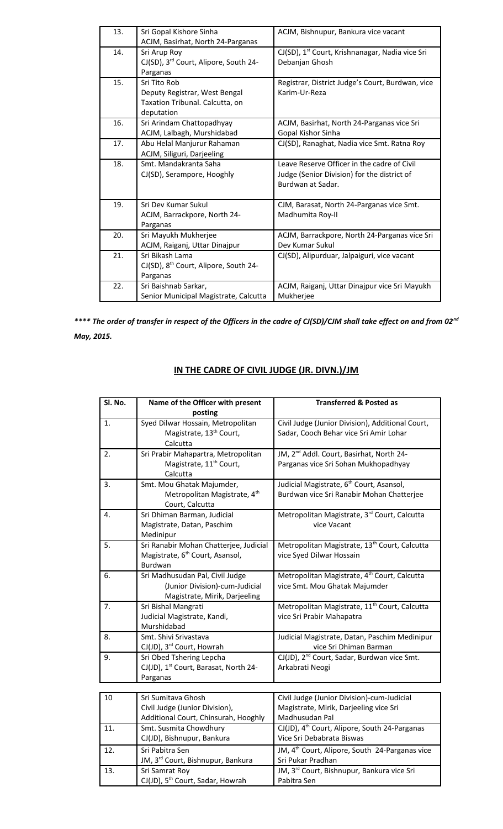| 13. | Sri Gopal Kishore Sinha                           | ACJM, Bishnupur, Bankura vice vacant                        |
|-----|---------------------------------------------------|-------------------------------------------------------------|
|     | ACJM, Basirhat, North 24-Parganas                 |                                                             |
| 14. | Sri Arup Roy                                      | CJ(SD), 1 <sup>st</sup> Court, Krishnanagar, Nadia vice Sri |
|     | CJ(SD), 3rd Court, Alipore, South 24-             | Debanjan Ghosh                                              |
|     | Parganas                                          |                                                             |
| 15. | Sri Tito Rob                                      | Registrar, District Judge's Court, Burdwan, vice            |
|     | Deputy Registrar, West Bengal                     | Karim-Ur-Reza                                               |
|     | Taxation Tribunal. Calcutta, on                   |                                                             |
|     | deputation                                        |                                                             |
| 16. | Sri Arindam Chattopadhyay                         | ACJM, Basirhat, North 24-Parganas vice Sri                  |
|     | ACJM, Lalbagh, Murshidabad                        | Gopal Kishor Sinha                                          |
| 17. | Abu Helal Manjurur Rahaman                        | CJ(SD), Ranaghat, Nadia vice Smt. Ratna Roy                 |
|     | ACJM, Siliguri, Darjeeling                        |                                                             |
| 18. | Smt. Mandakranta Saha                             | Leave Reserve Officer in the cadre of Civil                 |
|     | CJ(SD), Serampore, Hooghly                        | Judge (Senior Division) for the district of                 |
|     |                                                   | Burdwan at Sadar.                                           |
|     |                                                   |                                                             |
| 19. | Sri Dev Kumar Sukul                               | CJM, Barasat, North 24-Parganas vice Smt.                   |
|     | ACJM, Barrackpore, North 24-                      | Madhumita Roy-II                                            |
|     | Parganas                                          |                                                             |
| 20. | Sri Mayukh Mukherjee                              | ACJM, Barrackpore, North 24-Parganas vice Sri               |
|     | ACJM, Raiganj, Uttar Dinajpur                     | Dev Kumar Sukul                                             |
| 21. | Sri Bikash Lama                                   | CJ(SD), Alipurduar, Jalpaiguri, vice vacant                 |
|     | CJ(SD), 8 <sup>th</sup> Court, Alipore, South 24- |                                                             |
|     | Parganas                                          |                                                             |
| 22. | Sri Baishnab Sarkar,                              | ACJM, Raiganj, Uttar Dinajpur vice Sri Mayukh               |
|     | Senior Municipal Magistrate, Calcutta             | Mukherjee                                                   |

*\*\*\*\* The order of transfer in respect of the Officers in the cadre of CJ(SD)/CJM shall take effect on and from 02nd May, 2015.* 

| Sl. No. | Name of the Officer with present                  | <b>Transferred &amp; Posted as</b>                        |
|---------|---------------------------------------------------|-----------------------------------------------------------|
|         | posting                                           |                                                           |
| 1.      | Syed Dilwar Hossain, Metropolitan                 | Civil Judge (Junior Division), Additional Court,          |
|         | Magistrate, 13 <sup>th</sup> Court,               | Sadar, Cooch Behar vice Sri Amir Lohar                    |
|         | Calcutta                                          |                                                           |
| 2.      | Sri Prabir Mahapartra, Metropolitan               | JM, 2 <sup>nd</sup> Addl. Court, Basirhat, North 24-      |
|         | Magistrate, 11 <sup>th</sup> Court,               | Parganas vice Sri Sohan Mukhopadhyay                      |
|         | Calcutta                                          |                                                           |
| 3.      | Smt. Mou Ghatak Majumder,                         | Judicial Magistrate, 6 <sup>th</sup> Court, Asansol,      |
|         | Metropolitan Magistrate, 4 <sup>th</sup>          | Burdwan vice Sri Ranabir Mohan Chatterjee                 |
|         | Court, Calcutta                                   |                                                           |
| 4.      | Sri Dhiman Barman, Judicial                       | Metropolitan Magistrate, 3rd Court, Calcutta              |
|         | Magistrate, Datan, Paschim                        | vice Vacant                                               |
|         | Medinipur                                         |                                                           |
| 5.      | Sri Ranabir Mohan Chatterjee, Judicial            | Metropolitan Magistrate, 13 <sup>th</sup> Court, Calcutta |
|         | Magistrate, 6 <sup>th</sup> Court, Asansol,       | vice Syed Dilwar Hossain                                  |
|         | Burdwan                                           |                                                           |
| 6.      | Sri Madhusudan Pal, Civil Judge                   | Metropolitan Magistrate, 4 <sup>th</sup> Court, Calcutta  |
|         | (Junior Division)-cum-Judicial                    | vice Smt. Mou Ghatak Majumder                             |
|         | Magistrate, Mirik, Darjeeling                     |                                                           |
| 7.      | Sri Bishal Mangrati                               | Metropolitan Magistrate, 11 <sup>th</sup> Court, Calcutta |
|         | Judicial Magistrate, Kandi,                       | vice Sri Prabir Mahapatra                                 |
|         | Murshidabad                                       |                                                           |
| 8.      | Smt. Shivi Srivastava                             | Judicial Magistrate, Datan, Paschim Medinipur             |
|         | CJ(JD), 3 <sup>rd</sup> Court, Howrah             | vice Sri Dhiman Barman                                    |
| 9.      | Sri Obed Tshering Lepcha                          | CJ(JD), 2 <sup>nd</sup> Court, Sadar, Burdwan vice Smt.   |
|         | CJ(JD), 1 <sup>st</sup> Court, Barasat, North 24- | Arkabrati Neogi                                           |
|         | Parganas                                          |                                                           |
|         |                                                   |                                                           |
| 10      | Sri Sumitava Ghosh                                | Civil Judge (Junior Division)-cum-Judicial                |

# **IN THE CADRE OF CIVIL JUDGE (JR. DIVN.)/JM**

| 10  | Sri Sumitava Ghosh                           | Civil Judge (Junior Division)-cum-Judicial                 |
|-----|----------------------------------------------|------------------------------------------------------------|
|     | Civil Judge (Junior Division),               | Magistrate, Mirik, Darjeeling vice Sri                     |
|     | Additional Court, Chinsurah, Hooghly         | Madhusudan Pal                                             |
| 11. | Smt. Susmita Chowdhury                       | CJ(JD), 4 <sup>th</sup> Court, Alipore, South 24-Parganas  |
|     | CJ(JD), Bishnupur, Bankura                   | Vice Sri Debabrata Biswas                                  |
| 12. | Sri Pabitra Sen                              | JM, 4 <sup>th</sup> Court, Alipore, South 24-Parganas vice |
|     | JM, 3rd Court, Bishnupur, Bankura            | Sri Pukar Pradhan                                          |
| 13. | Sri Samrat Roy                               | JM, 3 <sup>rd</sup> Court, Bishnupur, Bankura vice Sri     |
|     | CJ(JD), 5 <sup>th</sup> Court, Sadar, Howrah | Pabitra Sen                                                |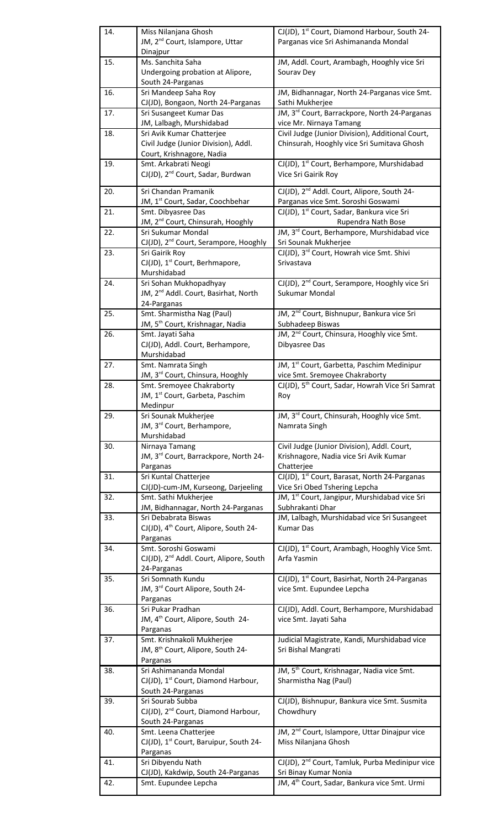|     | Miss Nilanjana Ghosh                                                       | CJ(JD), 1 <sup>st</sup> Court, Diamond Harbour, South 24-                                      |
|-----|----------------------------------------------------------------------------|------------------------------------------------------------------------------------------------|
|     | JM, 2 <sup>nd</sup> Court, Islampore, Uttar                                | Parganas vice Sri Ashimananda Mondal                                                           |
|     | Dinajpur<br>Ms. Sanchita Saha                                              |                                                                                                |
| 15. | Undergoing probation at Alipore,                                           | JM, Addl. Court, Arambagh, Hooghly vice Sri<br>Sourav Dey                                      |
|     | South 24-Parganas                                                          |                                                                                                |
| 16. | Sri Mandeep Saha Roy                                                       | JM, Bidhannagar, North 24-Parganas vice Smt.                                                   |
|     | CJ(JD), Bongaon, North 24-Parganas                                         | Sathi Mukherjee                                                                                |
| 17. | Sri Susangeet Kumar Das                                                    | JM, 3rd Court, Barrackpore, North 24-Parganas                                                  |
| 18. | JM, Lalbagh, Murshidabad<br>Sri Avik Kumar Chatterjee                      | vice Mr. Nirnaya Tamang<br>Civil Judge (Junior Division), Additional Court,                    |
|     | Civil Judge (Junior Division), Addl.                                       | Chinsurah, Hooghly vice Sri Sumitava Ghosh                                                     |
|     | Court, Krishnagore, Nadia                                                  |                                                                                                |
| 19. | Smt. Arkabrati Neogi                                                       | CJ(JD), 1 <sup>st</sup> Court, Berhampore, Murshidabad                                         |
|     | CJ(JD), 2 <sup>nd</sup> Court, Sadar, Burdwan                              | Vice Sri Gairik Roy                                                                            |
| 20. | Sri Chandan Pramanik                                                       | CJ(JD), 2 <sup>nd</sup> Addl. Court, Alipore, South 24-                                        |
|     | JM, 1 <sup>st</sup> Court, Sadar, Coochbehar                               | Parganas vice Smt. Soroshi Goswami                                                             |
| 21. | Smt. Dibyasree Das                                                         | CJ(JD), 1 <sup>st</sup> Court, Sadar, Bankura vice Sri                                         |
|     | JM, 2 <sup>nd</sup> Court, Chinsurah, Hooghly                              | Rupendra Nath Bose                                                                             |
| 22. | Sri Sukumar Mondal                                                         | JM, 3rd Court, Berhampore, Murshidabad vice                                                    |
| 23. | CJ(JD), 2 <sup>nd</sup> Court, Serampore, Hooghly<br>Sri Gairik Roy        | Sri Sounak Mukherjee<br>CJ(JD), 3rd Court, Howrah vice Smt. Shivi                              |
|     | CJ(JD), 1 <sup>st</sup> Court, Berhmapore,                                 | Srivastava                                                                                     |
|     | Murshidabad                                                                |                                                                                                |
| 24. | Sri Sohan Mukhopadhyay                                                     | CJ(JD), 2 <sup>nd</sup> Court, Serampore, Hooghly vice Sri                                     |
|     | JM, 2 <sup>nd</sup> Addl. Court, Basirhat, North                           | Sukumar Mondal                                                                                 |
|     | 24-Parganas                                                                |                                                                                                |
| 25. | Smt. Sharmistha Nag (Paul)<br>JM, 5 <sup>th</sup> Court, Krishnagar, Nadia | JM, 2 <sup>nd</sup> Court, Bishnupur, Bankura vice Sri<br>Subhadeep Biswas                     |
| 26. | Smt. Jayati Saha                                                           | JM, 2 <sup>nd</sup> Court, Chinsura, Hooghly vice Smt.                                         |
|     | CJ(JD), Addl. Court, Berhampore,                                           | Dibyasree Das                                                                                  |
|     | Murshidabad                                                                |                                                                                                |
| 27. | Smt. Namrata Singh                                                         | JM, 1st Court, Garbetta, Paschim Medinipur                                                     |
| 28. | JM, 3rd Court, Chinsura, Hooghly<br>Smt. Sremoyee Chakraborty              | vice Smt. Sremoyee Chakraborty<br>CJ(JD), 5 <sup>th</sup> Court, Sadar, Howrah Vice Sri Samrat |
|     | JM, 1 <sup>st</sup> Court, Garbeta, Paschim                                | Roy                                                                                            |
|     | Medinpur                                                                   |                                                                                                |
| 29. | Sri Sounak Mukherjee                                                       | JM, 3rd Court, Chinsurah, Hooghly vice Smt.                                                    |
|     | JM, 3rd Court, Berhampore,<br>Murshidabad                                  | Namrata Singh                                                                                  |
| 30. | Nirnaya Tamang                                                             | Civil Judge (Junior Division), Addl. Court,                                                    |
|     | JM, 3rd Court, Barrackpore, North 24-                                      | Krishnagore, Nadia vice Sri Avik Kumar                                                         |
|     | Parganas                                                                   | Chatterjee                                                                                     |
|     |                                                                            |                                                                                                |
| 31. | Sri Kuntal Chatterjee                                                      | CJ(JD), 1st Court, Barasat, North 24-Parganas                                                  |
|     | CJ(JD)-cum-JM, Kurseong, Darjeeling                                        | Vice Sri Obed Tshering Lepcha                                                                  |
| 32. | Smt. Sathi Mukherjee                                                       | JM, 1 <sup>st</sup> Court, Jangipur, Murshidabad vice Sri                                      |
| 33. | JM, Bidhannagar, North 24-Parganas<br>Sri Debabrata Biswas                 | Subhrakanti Dhar                                                                               |
|     | CJ(JD), 4 <sup>th</sup> Court, Alipore, South 24-                          | JM, Lalbagh, Murshidabad vice Sri Susangeet<br><b>Kumar Das</b>                                |
|     | Parganas                                                                   |                                                                                                |
| 34. | Smt. Soroshi Goswami                                                       | CJ(JD), 1 <sup>st</sup> Court, Arambagh, Hooghly Vice Smt.                                     |
|     | CJ(JD), 2 <sup>nd</sup> Addl. Court, Alipore, South                        | Arfa Yasmin                                                                                    |
| 35. | 24-Parganas<br>Sri Somnath Kundu                                           | CJ(JD), 1 <sup>st</sup> Court, Basirhat, North 24-Parganas                                     |
|     | JM, 3rd Court Alipore, South 24-                                           | vice Smt. Eupundee Lepcha                                                                      |
|     | Parganas                                                                   |                                                                                                |
| 36. | Sri Pukar Pradhan                                                          | CJ(JD), Addl. Court, Berhampore, Murshidabad                                                   |
|     | JM, 4 <sup>th</sup> Court, Alipore, South 24-                              | vice Smt. Jayati Saha                                                                          |
| 37. | Parganas<br>Smt. Krishnakoli Mukherjee                                     | Judicial Magistrate, Kandi, Murshidabad vice                                                   |
|     | JM, 8 <sup>th</sup> Court, Alipore, South 24-                              | Sri Bishal Mangrati                                                                            |
|     | Parganas                                                                   |                                                                                                |
| 38. | Sri Ashimananda Mondal                                                     | JM, 5 <sup>th</sup> Court, Krishnagar, Nadia vice Smt.                                         |
|     | CJ(JD), 1 <sup>st</sup> Court, Diamond Harbour,                            | Sharmistha Nag (Paul)                                                                          |
| 39. | South 24-Parganas<br>Sri Sourab Subba                                      | CJ(JD), Bishnupur, Bankura vice Smt. Susmita                                                   |
|     | CJ(JD), 2 <sup>nd</sup> Court, Diamond Harbour,                            | Chowdhury                                                                                      |
|     | South 24-Parganas                                                          |                                                                                                |
| 40. | Smt. Leena Chatterjee                                                      | JM, 2 <sup>nd</sup> Court, Islampore, Uttar Dinajpur vice                                      |
|     | CJ(JD), 1st Court, Baruipur, South 24-                                     | Miss Nilanjana Ghosh                                                                           |
| 41. | Parganas<br>Sri Dibyendu Nath                                              | CJ(JD), 2 <sup>nd</sup> Court, Tamluk, Purba Medinipur vice                                    |
|     | CJ(JD), Kakdwip, South 24-Parganas<br>Smt. Eupundee Lepcha                 | Sri Binay Kumar Nonia<br>JM, 4 <sup>th</sup> Court, Sadar, Bankura vice Smt. Urmi              |